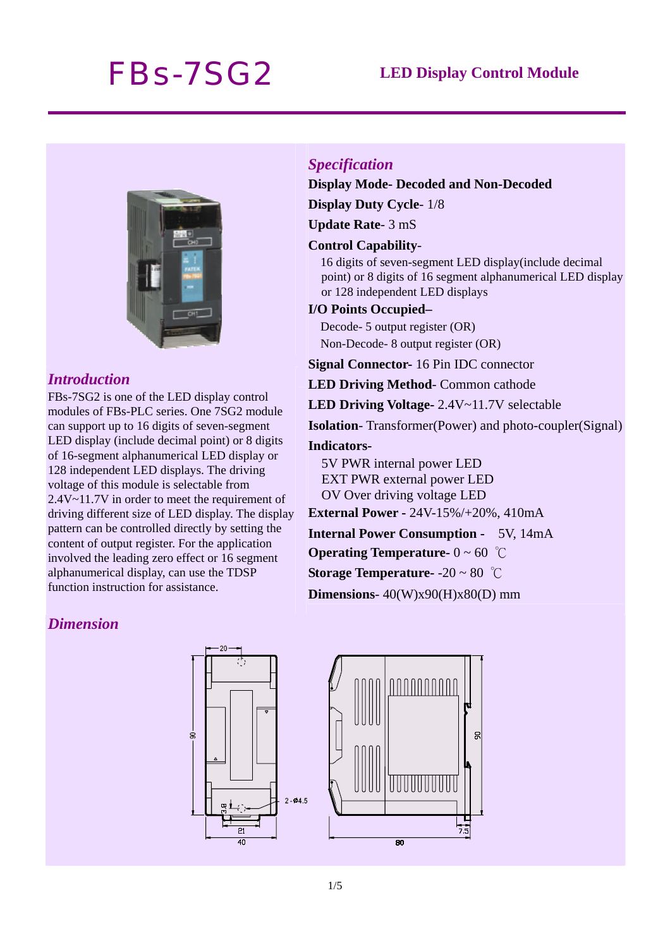# *FBs-7SG2* **LED Display Control Module**



## *Introduction*

FBs-7SG2 is one of the LED display control modules of FBs-PLC series. One 7SG2 module can support up to 16 digits of seven-segment LED display (include decimal point) or 8 digits of 16-segment alphanumerical LED display or 128 independent LED displays. The driving voltage of this module is selectable from 2.4V~11.7V in order to meet the requirement of driving different size of LED display. The display pattern can be controlled directly by setting the content of output register. For the application involved the leading zero effect or 16 segment alphanumerical display, can use the TDSP function instruction for assistance.

### *Specification*

#### **Display Mode- Decoded and Non-Decoded**

**Display Duty Cycle**- 1/8

**Update Rate**- 3 mS

#### **Control Capability**-

16 digits of seven-segment LED display(include decimal point) or 8 digits of 16 segment alphanumerical LED display or 128 independent LED displays

#### **I/O Points Occupied–**

Decode- 5 output register (OR) Non-Decode- 8 output register (OR)

**Signal Connector-** 16 Pin IDC connector

**LED Driving Method**- Common cathode

**LED Driving Voltage-** 2.4V~11.7V selectable

**Isolation**- Transformer(Power) and photo-coupler(Signal)

#### **Indicators-**

5V PWR internal power LED EXT PWR external power LED OV Over driving voltage LED

**External Power -** 24V-15%/+20%, 410mA

**Internal Power Consumption -** 5V, 14mA

**Operating Temperature-** 0 ~ 60 ℃

**Storage Temperature-** -20 ~ 80 ℃

**Dimensions**- 40(W)x90(H)x80(D) mm

# *Dimension*

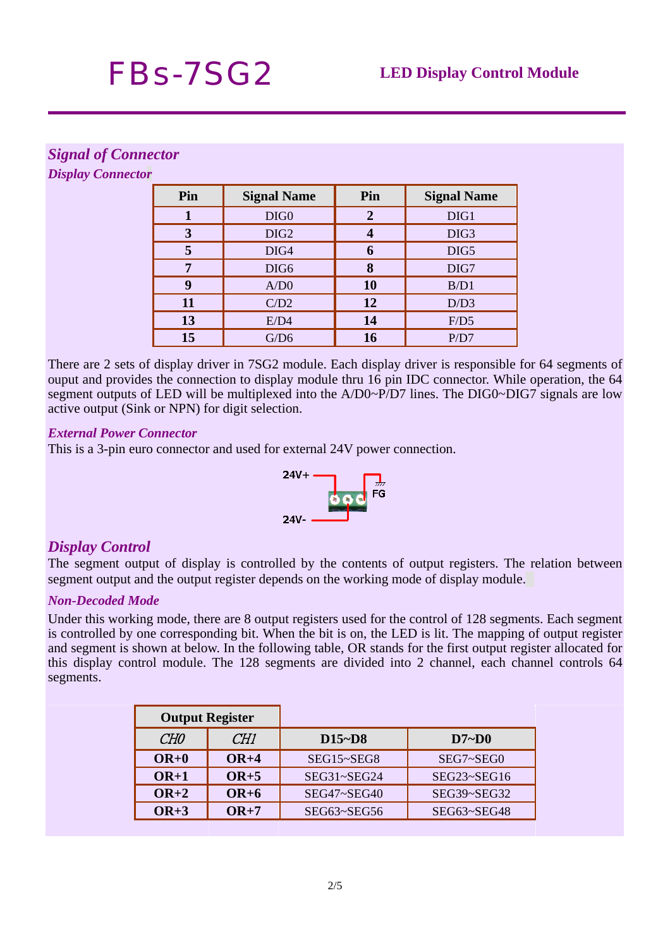# *Signal of Connector*

*Display Connector*

| Pin | <b>Signal Name</b> | Pin | <b>Signal Name</b> |
|-----|--------------------|-----|--------------------|
|     | DIG <sub>0</sub>   | 2   | DIG1               |
| 3   | DIG <sub>2</sub>   |     | DIG <sub>3</sub>   |
| 5   | DIG4               | 6   | DIG5               |
| 7   | DIG <sub>6</sub>   | 8   | DIG7               |
| q   | A/D0               | 10  | B/D1               |
| 11  | C/D2               | 12  | D/D3               |
| 13  | E/D4               | 14  | F/D5               |
| 15  | G/D6               | 16  | P/D7               |

There are 2 sets of display driver in 7SG2 module. Each display driver is responsible for 64 segments of ouput and provides the connection to display module thru 16 pin IDC connector. While operation, the 64 segment outputs of LED will be multiplexed into the A/D0~P/D7 lines. The DIG0~DIG7 signals are low active output (Sink or NPN) for digit selection.

### *External Power Connector*

This is a 3-pin euro connector and used for external 24V power connection.



# *Display Control*

The segment output of display is controlled by the contents of output registers. The relation between segment output and the output register depends on the working mode of display module.

# *Non-Decoded Mode*

Under this working mode, there are 8 output registers used for the control of 128 segments. Each segment is controlled by one corresponding bit. When the bit is on, the LED is lit. The mapping of output register and segment is shown at below. In the following table, OR stands for the first output register allocated for this display control module. The 128 segments are divided into 2 channel, each channel controls 64 segments.

| <b>Output Register</b> |        |                    |                    |  |
|------------------------|--------|--------------------|--------------------|--|
| CH <sub>0</sub>        | CH1    | $D15-D8$           | D7~D0              |  |
| $OR+0$                 | $OR+4$ | SEG15~SEG8         | SEG7~SEG0          |  |
| $OR+1$                 | $OR+5$ | SEG31~SEG24        | SEG23~SEG16        |  |
| $OR+2$                 | $OR+6$ | SEG47~SEG40        | $SEG39 \sim SEG32$ |  |
| $OR+3$                 | $OR+7$ | $SEG63 \sim SEG56$ | SEG63~SEG48        |  |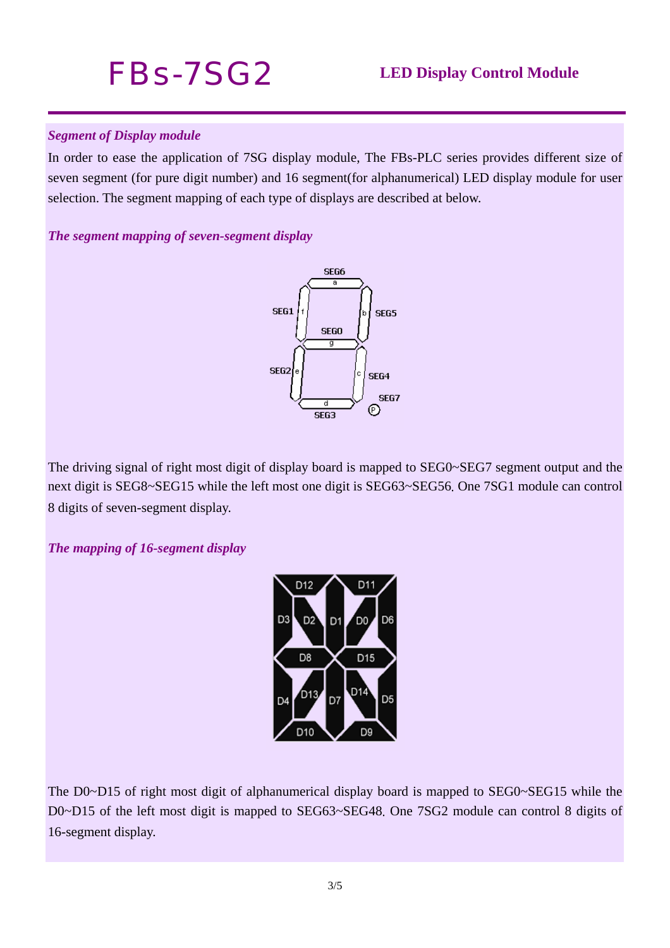# *FBs-7SG2* **LED Display Control Module**

# *Segment of Display module*

In order to ease the application of 7SG display module, The FBs-PLC series provides different size of seven segment (for pure digit number) and 16 segment(for alphanumerical) LED display module for user selection. The segment mapping of each type of displays are described at below.

# *The segment mapping of seven-segment display*



The driving signal of right most digit of display board is mapped to SEG0~SEG7 segment output and the next digit is SEG8~SEG15 while the left most one digit is SEG63~SEG56. One 7SG1 module can control 8 digits of seven-segment display.

# *The mapping of 16-segment display*



The D0~D15 of right most digit of alphanumerical display board is mapped to SEG0~SEG15 while the D0~D15 of the left most digit is mapped to SEG63~SEG48. One 7SG2 module can control 8 digits of 16-segment display.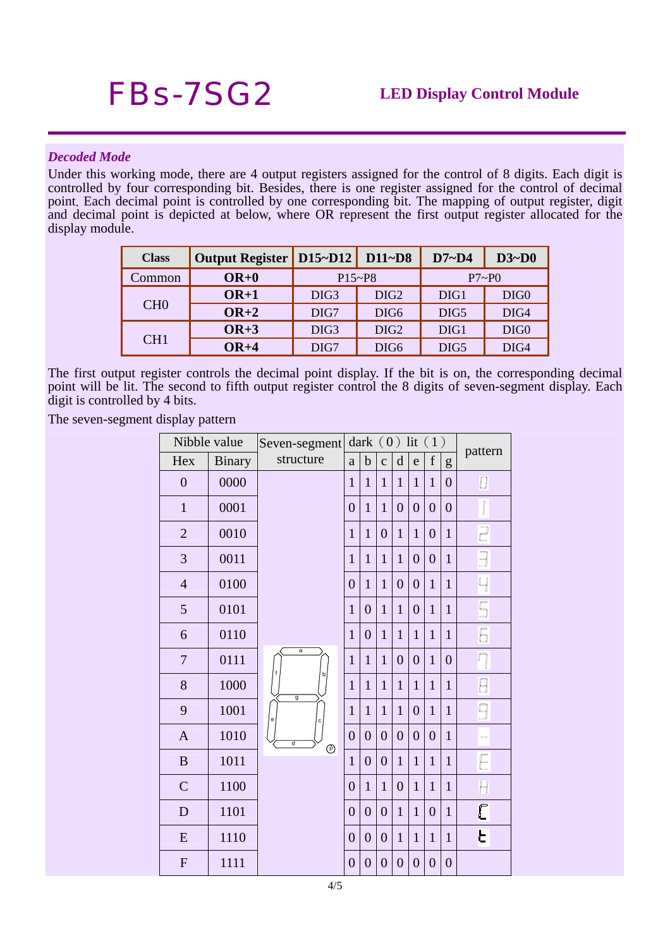#### *Decoded Mode*

Under this working mode, there are 4 output registers assigned for the control of 8 digits. Each digit is controlled by four corresponding bit. Besides, there is one register assigned for the control of decimal point. Each decimal point is controlled by one corresponding bit. The mapping of output register, digit and decimal point is depicted at below, where OR represent the first output register allocated for the display module.

| <b>Class</b>    | Output Register   D15~D12   D11~D8 |                  |                  | $D7 - D4$ | $D3-D0$          |  |
|-----------------|------------------------------------|------------------|------------------|-----------|------------------|--|
| Common          | $OR+0$                             | $P15-P8$         |                  | P7~P0     |                  |  |
| CH <sub>0</sub> | $OR+1$                             | DIG <sub>3</sub> | DIG <sub>2</sub> | DIG1      | DIG <sub>0</sub> |  |
|                 | $OR+2$                             | DIG7             | DIG <sub>6</sub> | DIG5      | DIG4             |  |
| CH1             | $OR+3$                             | DIG <sub>3</sub> | DIG <sub>2</sub> | DIG1      | DIG <sub>0</sub> |  |
|                 | $OR+4$                             | DIG7             | DIG <sub>6</sub> | DIG5      | DIG4             |  |

The first output register controls the decimal point display. If the bit is on, the corresponding decimal point will be lit. The second to fifth output register control the 8 digits of seven-segment display. Each digit is controlled by 4 bits.

The seven-segment display pattern

| Nibble value     |               | Seven-segment       |                | dark $(0)$ lit $(1)$ |                  |                |                |                |                |                                          |
|------------------|---------------|---------------------|----------------|----------------------|------------------|----------------|----------------|----------------|----------------|------------------------------------------|
| Hex              | <b>Binary</b> | structure           | $\rm{a}$       | $\mathbf b$          | $\mathbf{C}$     | d              | e              | $\mathbf f$    | g              | pattern                                  |
| $\boldsymbol{0}$ | 0000          |                     | $\mathbf{1}$   | $\mathbf{1}$         | $\mathbf{1}$     | $\mathbf{1}$   | $\mathbf{1}$   | $\mathbf{1}$   | $\overline{0}$ | 0                                        |
| $\mathbf{1}$     | 0001          |                     | $\overline{0}$ | $\mathbf{1}$         | $\mathbf{1}$     | $\overline{0}$ | $\overline{0}$ | $\overline{0}$ | $\overline{0}$ | I                                        |
| $\overline{2}$   | 0010          |                     | $\mathbf{1}$   | $\mathbf{1}$         | $\overline{0}$   | $\mathbf{1}$   | $\mathbf{1}$   | $\overline{0}$ | $\mathbf{1}$   | $\begin{array}{c} \square \end{array}$   |
| 3                | 0011          |                     | $\mathbf{1}$   | $\mathbf{1}$         | $\mathbf{1}$     | $\mathbf{1}$   | $\overline{0}$ | $\overline{0}$ | $\overline{1}$ | $\begin{array}{c} \boxed{1} \end{array}$ |
| $\overline{4}$   | 0100          |                     | $\overline{0}$ | $\mathbf{1}$         | $\mathbf{1}$     | $\overline{0}$ | $\overline{0}$ | $\mathbf{1}$   | $\mathbf{1}$   | 4                                        |
| 5                | 0101          |                     | $\mathbf{1}$   | $\overline{0}$       | $\mathbf{1}$     | $\mathbf{1}$   | $\overline{0}$ | $\mathbf{1}$   | $\mathbf{1}$   | $\overline{\mathbb{S}}$                  |
| 6                | 0110          |                     | $\mathbf{1}$   | $\overline{0}$       | $\mathbf{1}$     | $\mathbf{1}$   | $\mathbf{1}$   | $\mathbf{1}$   | $\mathbf{1}$   | 6                                        |
| $\overline{7}$   | 0111          | $\overline{a}$      | $\mathbf{1}$   | $\mathbf{1}$         | $\mathbf{1}$     | $\overline{0}$ | $\overline{0}$ | $\mathbf{1}$   | $\overline{0}$ | $\Box$                                   |
| 8                | 1000          | þ<br>$\overline{g}$ | $\mathbf{1}$   | $\mathbf{1}$         | $\mathbf{1}$     | $\mathbf{1}$   | $\mathbf{1}$   | $\mathbf{1}$   | $\mathbf{1}$   | 8                                        |
| 9                | 1001          | е<br>c              | $\mathbf{1}$   | $\mathbf{1}$         | $\mathbf{1}$     | 1              | $\overline{0}$ | $\mathbf{1}$   | 1              | 9                                        |
| $\mathbf{A}$     | 1010          | ਰ<br>$\odot$        | $\overline{0}$ | $\overline{0}$       | $\overline{0}$   | $\overline{0}$ | $\overline{0}$ | $\overline{0}$ | $\mathbf{1}$   | $\Rightarrow$                            |
| $\bf{B}$         | 1011          |                     | $\overline{1}$ | $\overline{0}$       | $\overline{0}$   | $\mathbf{1}$   | $\mathbf{1}$   | $\mathbf{1}$   | $\mathbf{1}$   | E                                        |
| $\mathsf{C}$     | 1100          |                     | $\overline{0}$ | $\mathbf{1}$         | $\mathbf{1}$     | $\overline{0}$ | $\mathbf{1}$   | $\mathbf{1}$   | $\mathbf{1}$   | H                                        |
| D                | 1101          |                     | $\overline{0}$ | $\boldsymbol{0}$     | $\boldsymbol{0}$ | $\mathbf{1}$   | $\mathbf{1}$   | $\overline{0}$ | $\mathbf{1}$   | C                                        |
| E                | 1110          |                     | $\overline{0}$ | $\overline{0}$       | $\overline{0}$   | $\mathbf{1}$   | $\mathbf{1}$   | $\mathbf{1}$   | $\mathbf{1}$   | E                                        |
| F                | 1111          |                     | $\overline{0}$ | $\overline{0}$       | $\overline{0}$   | $\overline{0}$ | $\overline{0}$ | $\overline{0}$ | $\overline{0}$ |                                          |